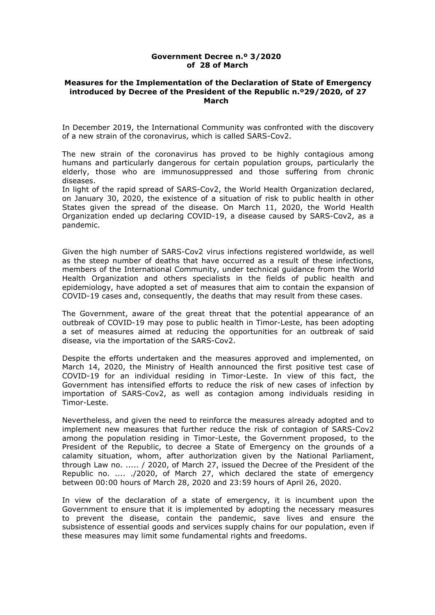#### **Government Decree n.º 3/2020 of 28 of March**

#### **Measures for the Implementation of the Declaration of State of Emergency introduced by Decree of the President of the Republic n.º29/2020, of 27 March**

In December 2019, the International Community was confronted with the discovery of a new strain of the coronavirus, which is called SARS-Cov2.

The new strain of the coronavirus has proved to be highly contagious among humans and particularly dangerous for certain population groups, particularly the elderly, those who are immunosuppressed and those suffering from chronic diseases.

In light of the rapid spread of SARS-Cov2, the World Health Organization declared, on January 30, 2020, the existence of a situation of risk to public health in other States given the spread of the disease. On March 11, 2020, the World Health Organization ended up declaring COVID-19, a disease caused by SARS-Cov2, as a pandemic.

Given the high number of SARS-Cov2 virus infections registered worldwide, as well as the steep number of deaths that have occurred as a result of these infections, members of the International Community, under technical guidance from the World Health Organization and others specialists in the fields of public health and epidemiology, have adopted a set of measures that aim to contain the expansion of COVID-19 cases and, consequently, the deaths thatmay result from these cases.

The Government, aware of the great threat that the potential appearance of an outbreak of COVID-19 may pose to public health in Timor-Leste, has been adopting a set of measures aimed at reducing the opportunities for an outbreak of said disease, via the importation of the SARS-Cov2.

Despite the efforts undertaken and the measures approved and implemented, on March 14, 2020, the Ministry of Health announced the first positive test case of COVID-19 for an individual residing in Timor-Leste. In view of this fact, the Government has intensified efforts to reduce the risk of new cases of infection by importation of SARS-Cov2, as well as contagion among individuals residing in Timor-Leste.

Nevertheless, and given the need to reinforce the measures already adopted and to implement new measures that further reduce the risk of contagion of SARS-Cov2 among the population residing in Timor-Leste, the Government proposed, to the President of the Republic, to decree a State of Emergency on the grounds of a calamity situation, whom, after authorization given by the National Parliament, through Law no. ..... / 2020, of March 27, issued the Decree of the President of the Republic no. .... ./2020, of March 27, which declared the state of emergency between 00:00 hours of March 28, 2020 and 23:59 hours of April 26, 2020.

In view of the declaration of a state of emergency, it is incumbent upon the Government to ensure that it is implemented by adopting the necessary measures to prevent the disease, contain the pandemic, save lives and ensure the subsistence of essential goods and services supply chains for our population, even if these measures may limit some fundamental rights and freedoms.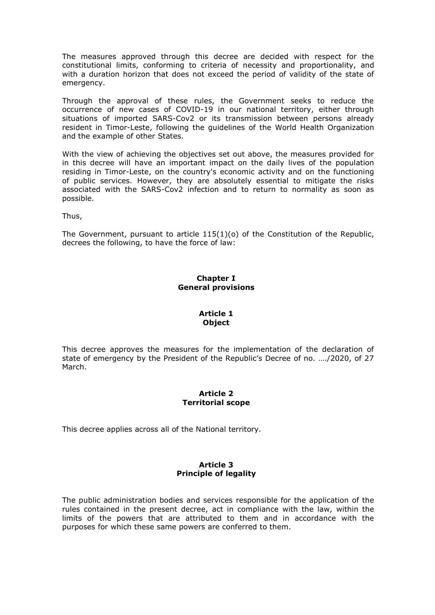The measures approved through this decree are decided with respect for the constitutional limits, conforming to criteria of necessity and proportionality, and with a duration horizon that does not exceed the period of validity of the state of emergency.

Through the approval of these rules, the Government seeks to reduce the occurrence of new cases of COVID-19 in our national territory, either through situations of imported SARS-Cov2 or its transmission between persons already resident in Timor-Leste, following the guidelines of the World Health Organization and the example of other States.

With the view of achieving the objectives set out above, the measures provided for in this decree will have an important impact on the daily lives of the population residing in Timor-Leste, on the country's economic activity and on the functioning of public services. However, they are absolutely essential to mitigate the risks associated with the SARS-Cov2 infection and to return to normality as soon as possible.

Thus,

The Government, pursuant to article  $115(1)(o)$  of the Constitution of the Republic, decrees the following, to have the force of law:

# **Chapter I General provisions**

### **Article 1 Object**

This decree approves the measures for the implementation of the declaration of state of emergency by the President of the Republic's Decree of no. …./2020, of 27 March.

### **Article 2 Territorial scope**

This decree applies across all of the National territory.

### **Article 3 Principle of legality**

The public administration bodies and services responsible for the application of the rules contained in the present decree, act in compliance with the law, within the limits of the powers that are attributed to them and in accordance with the purposes for which these same powers are conferred to them.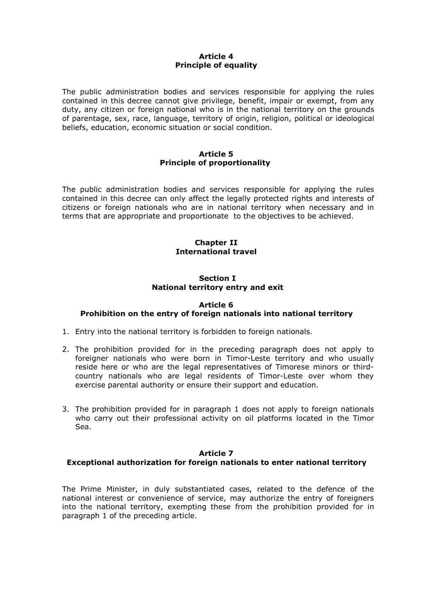### **Article 4 Principle of equality**

The public administration bodies and services responsible for applying the rules contained in this decree cannot give privilege, benefit, impair or exempt, from any duty, any citizen or foreign national who is in the national territory on the grounds of parentage, sex, race, language, territory of origin, religion, political or ideological beliefs, education, economic situation or social condition.

### **Article 5 Principle of proportionality**

The public administration bodies and services responsible for applying the rules contained in this decree can only affect the legally protected rights and interests of citizens or foreign nationals who are in national territory when necessary and in terms that are appropriate and proportionate to the objectives to be achieved.

# **Chapter II International travel**

### **Section I National territory entry and exit**

# **Article 6**

# **Prohibition on the entry of foreign nationals into national territory**

- 1. Entry into the national territory is forbidden to foreign nationals.
- 2. The prohibition provided for in the preceding paragraph does not apply to foreigner nationals who were born in Timor-Leste territory and who usually reside here or who are the legal representatives of Timorese minors or third country nationals who are legal residents of Timor-Leste over whom they exercise parental authority or ensure their support and education.
- 3. The prohibition provided for in paragraph 1 does not apply to foreign nationals who carry out their professional activity on oil platforms located in the Timor Sea.

### **Article 7**

# **Exceptional authorization for foreign nationals to enter national territory**

The Prime Minister, in duly substantiated cases, related to the defence of the national interest or convenience of service, may authorize the entry of foreigners into the national territory, exempting these from the prohibition provided for in paragraph 1 of the preceding article.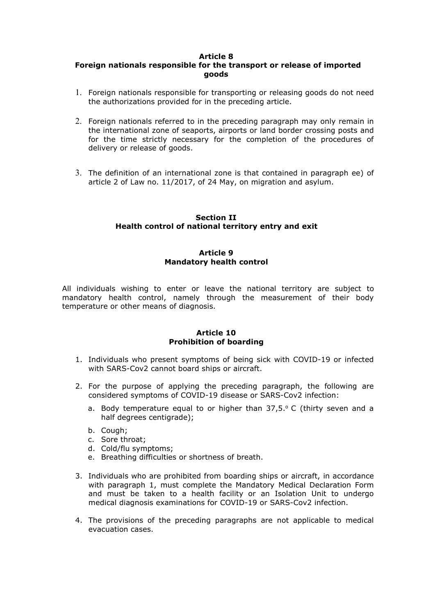# **Foreign nationals responsible for the transport or release of imported goods**

- 1. Foreign nationals responsible for transporting or releasing goods do not need the authorizations provided for in the preceding article.
- 2. Foreign nationals referred to in the preceding paragraph may only remain in the international zone of seaports, airports or land border crossing posts and for the time strictly necessary for the completion of the procedures of delivery or release of goods.
- 3. The definition of an international zone is that contained in paragraph ee) of article 2 of Law no. 11/2017, of 24 May, on migration and asylum.

### **Section II Health control of national territory entry and exit**

#### **Article 9 Mandatory health control**

All individuals wishing to enteror leave the national territory are subject to mandatory health control, namely through the measurement of their body temperature or other means of diagnosis.

### **Article 10 Prohibition of boarding**

- 1. Individuals who present symptoms of being sick with COVID-19 or infected with SARS-Cov2 cannot board ships or aircraft.
- 2. For the purpose of applying the preceding paragraph, the following are considered symptoms of COVID-19 disease or SARS-Cov2 infection:
	- a. Body temperature equal to or higher than  $37,5.$  C (thirty seven and a half degrees centigrade);
	- b. Cough;
	- c. Sore throat;
	- d. Cold/flu symptoms;
	- e. Breathing difficulties or shortness of breath.
- 3. Individuals who are prohibited from boarding ships or aircraft, in accordance with paragraph 1, must complete the Mandatory Medical Declaration Form and must be taken to a health facility or an Isolation Unit to undergo medical diagnosis examinations for COVID-19 or SARS-Cov2 infection.
- 4. The provisions of the preceding paragraphs are not applicable to medical evacuation cases.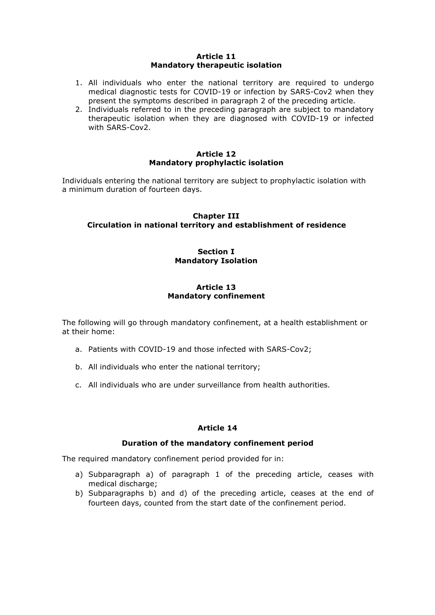#### **Article 11 Mandatory therapeutic isolation**

- 1. All individuals who enter the national territory are required to undergo medical diagnostic tests for COVID-19 or infection by SARS-Cov2 when they present the symptoms described in paragraph 2 of the preceding article.
- 2. Individuals referred to in the preceding paragraph are subject to mandatory therapeutic isolation when they are diagnosed with COVID-19 or infected with SARS-Cov2.

### **Article 12 Mandatory prophylactic isolation**

Individuals entering the national territory are subject to prophylactic isolation with a minimum duration of fourteen days.

### **Chapter III Circulation in national territory and establishment of residence**

### **Section I Mandatory Isolation**

# **Article 13 Mandatory confinement**

The following will go through mandatory confinement, at a health establishment or at their home:

- a. Patients with COVID-19 and those infected with SARS-Cov2;
- b. All individuals who enter the national territory;
- c. All individuals who are under surveillance from health authorities.

# **Article 14**

### **Duration of the mandatory confinement period**

The required mandatory confinement period provided for in:

- a) Subparagraph a) of paragraph 1 of the preceding article, ceases with medical discharge;
- b) Subparagraphs b) and d) of the preceding article, ceases at the end of fourteen days, counted from the start date of the confinement period.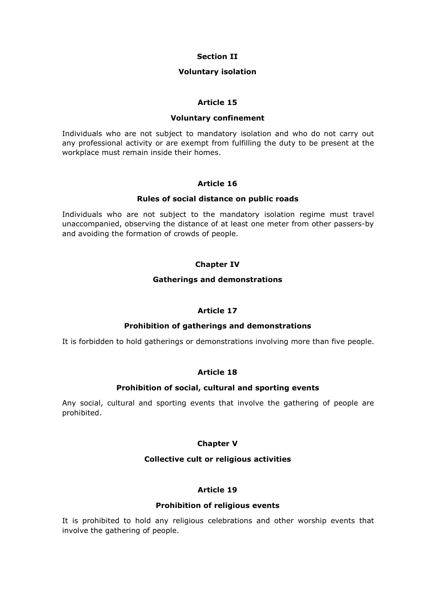### **Section II**

#### **Voluntary isolation**

### **Article 15**

#### **Voluntary confinement**

Individuals who are not subject to mandatory isolation and who do not carry out any professional activity or are exempt from fulfilling the duty to be present at the workplace must remain inside their homes.

### **Article 16**

### **Rules of social distance on public roads**

Individuals who are not subject to the mandatory isolation regime must travel unaccompanied, observing the distance of at least one meter from other passers-by and avoiding the formation of crowds of people.

### **Chapter IV**

#### **Gatherings and demonstrations**

### **Article 17**

### **Prohibition of gatherings and demonstrations**

It is forbidden to hold gatherings or demonstrations involving more than five people.

# **Article 18**

### **Prohibition of social, cultural and sporting events**

Any social, cultural and sporting events that involve the gathering of people are prohibited.

### **Chapter V**

### **Collective cult or religious activities**

### **Article 19**

### **Prohibition of religious events**

It is prohibited to hold any religious celebrations and other worship events that involve the gathering of people.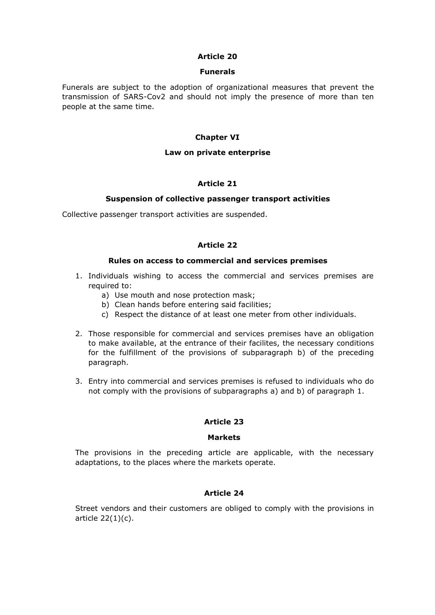#### **Funerals**

Funerals are subject to the adoption of organizational measures that prevent the transmission of SARS-Cov2 and should not imply the presence of more than ten people at the same time.

### **Chapter VI**

### **Law on private enterprise**

### **Article 21**

### **Suspension of collective passenger transport activities**

Collective passenger transport activities are suspended.

# **Article 22**

#### **Rules on access to commercial and services premises**

- 1. Individuals wishing to access the commercial and services premises are required to:
	- a) Use mouth and nose protection mask;
	- b) Clean hands before entering said facilities;
	- c) Respect the distance of at least one meter from other individuals.
- 2. Those responsible for commercial and services premises have an obligation to make available, at the entrance of their facilites, the necessary conditions for the fulfillment of the provisions of subparagraph b) of the preceding paragraph.
- 3. Entry into commercial and services premises is refused to individuals who do not comply with the provisions of subparagraphs a) and b) of paragraph 1.

### **Article 23**

### **Markets**

The provisions in the preceding article are applicable, with the necessary adaptations, to the places where the markets operate.

# **Article 24**

Street vendors and their customers are obliged to comply with the provisions in article 22(1)(c).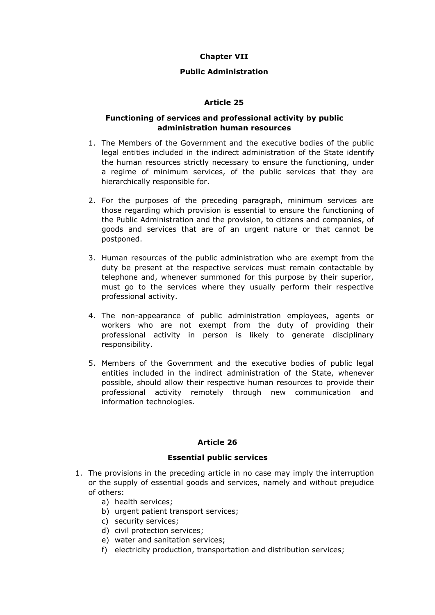# **Chapter VII**

# **Public Administration**

# **Article 25**

### **Functioning of services and professional activity by public administration human resources**

- 1. The Members of the Government and the executive bodies of the public legal entities included in the indirect administration of the State identify the human resources strictly necessary to ensure the functioning, under a regime of minimum services, of the public services that they are hierarchically responsible for.
- 2. For the purposes of the preceding paragraph, minimum services are those regarding which provision is essential to ensure the functioning of the Public Administration and the provision, to citizens and companies, of goods and services that are of an urgent nature or that cannot be postponed.
- 3. Human resources of the public administration who are exempt from the duty be present at the respective services must remain contactable by telephone and, whenever summoned for this purpose by their superior, must go to the services where they usually perform their respective professional activity.
- 4. The non-appearance of public administration employees, agents or workers who are not exempt from the duty of providing their professional activity in person is likely to generate disciplinary responsibility.
- 5. Members of the Government and the executive bodies of public legal entities included in the indirect administration of the State, whenever possible, should allow their respective human resources to provide their professional activity remotely through new communication and information technologies.

### **Article 26**

### **Essential public services**

- 1. The provisions in the preceding article in no case may imply the interruption or the supply of essential goods and services, namely and without prejudice of others:
	- a) health services;
	- b) urgent patient transport services;
	- c) security services;
	- d) civil protection services;
	- e) water and sanitation services;
	- f) electricity production, transportation and distribution services;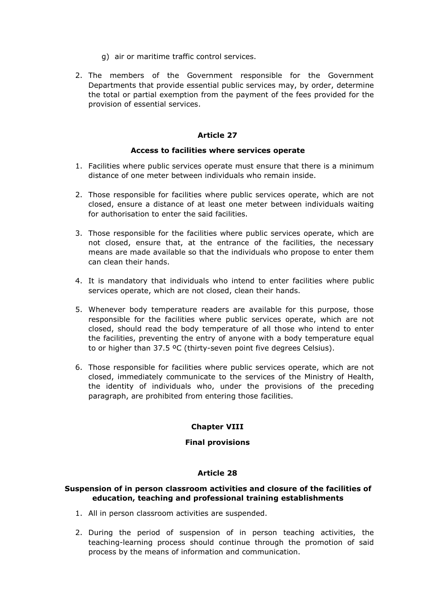- g) air or maritime traffic control services.
- 2. The members of the Government responsible for the Government Departments that provide essential public services may, by order, determine the total or partial exemption from the payment of the fees provided for the provision of essential services.

#### **Access to facilities where services operate**

- 1. Facilities where public services operate must ensure that there is a minimum distance of one meter between individuals who remain inside.
- 2. Those responsible for facilities where public services operate, which are not closed, ensure a distance of at least one meter between individuals waiting for authorisation to enter the said facilities.
- 3. Those responsible for the facilities where public services operate, which are not closed, ensure that, at the entrance of the facilities, the necessary means are made available so that the individuals who propose to enter them can clean their hands.
- 4. It is mandatory that individuals who intend to enter facilities where public services operate, which are not closed, clean their hands.
- 5. Whenever body temperature readers are available for this purpose, those responsible for the facilities where public services operate, which are not closed, should read the body temperature of all those who intend to enter the facilities, preventing the entry of anyone with a body temperature equal to or higher than 37.5 ºC (thirty-seven point five degrees Celsius).
- 6. Those responsible for facilities where public services operate, which are not closed, immediately communicate to the services of the Ministry of Health, the identity of individuals who, under the provisions of the preceding paragraph, are prohibited from entering those facilities.

### **Chapter VIII**

### **Final provisions**

### **Article 28**

#### **Suspension of in person classroom activities and closure of the facilities of education, teaching and professional training establishments**

- 1. All in person classroom activities are suspended.
- 2. During the period of suspension of in person teaching activities, the teaching-learning process should continue through the promotion of said process by the means of information and communication.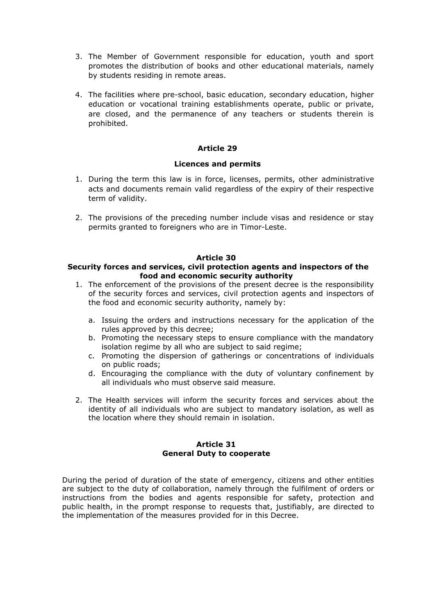- 3. The Member of Government responsible for education, youth and sport promotes the distribution of books and other educational materials, namely by students residing in remote areas.
- 4. The facilities where pre-school, basic education, secondary education, higher education or vocational training establishments operate, public or private, are closed, and the permanence of any teachers or students therein is prohibited.

### **Licences and permits**

- 1. During the term this law is in force, licenses, permits, other administrative acts and documents remain valid regardless of the expiry of their respective term of validity.
- 2. The provisions of the preceding number include visas and residence or stay permits granted to foreigners who are in Timor-Leste.

# **Article 30**

### **Security forces and services, civil protection agents and inspectors of the food and economic security authority**

- 1. The enforcement of the provisions of the present decree is the responsibility of the security forces and services, civil protection agents and inspectors of the food and economic security authority, namely by:
	- a. Issuing the orders and instructions necessary for the application of the rules approved by this decree;
	- b. Promoting the necessary steps to ensure compliance with the mandatory isolation regime by all who are subject to said regime;
	- c. Promoting the dispersion of gatherings or concentrations of individuals on public roads;
	- d. Encouraging the compliance with the duty of voluntary confinement by all individuals who must observe said measure.
- 2. The Health services will inform the security forces and services about the identity of all individuals who are subject to mandatory isolation, as well as the location where they should remain in isolation.

#### **Article 31 General Duty to cooperate**

During the period of duration of the state of emergency, citizens and other entities are subject to the duty of collaboration, namely through the fulfilment of orders or instructions from the bodies and agents responsible for safety, protection and public health, in the prompt response to requests that, justifiably, are directed to the implementation of the measures provided for in this Decree.